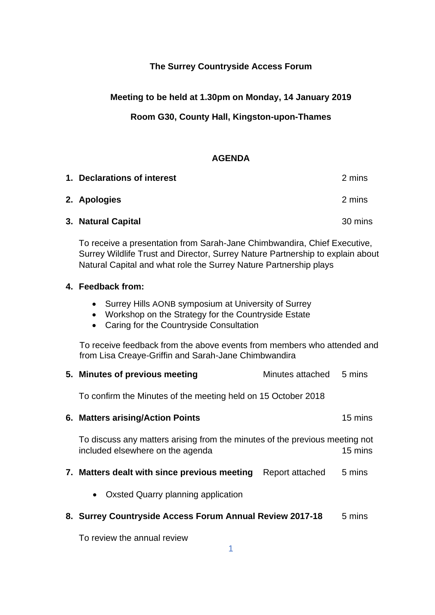# **The Surrey Countryside Access Forum**

### **Meeting to be held at 1.30pm on Monday, 14 January 2019**

## **Room G30, County Hall, Kingston-upon-Thames**

#### **AGENDA**

| 1. Declarations of interest | 2 mins  |
|-----------------------------|---------|
| 2. Apologies                | 2 mins  |
| 3. Natural Capital          | 30 mins |

To receive a presentation from Sarah-Jane Chimbwandira, Chief Executive, Surrey Wildlife Trust and Director, Surrey Nature Partnership to explain about Natural Capital and what role the Surrey Nature Partnership plays

#### **4. Feedback from:**

- Surrey Hills AONB symposium at University of Surrey
- Workshop on the Strategy for the Countryside Estate
- Caring for the Countryside Consultation

To receive feedback from the above events from members who attended and from Lisa Creaye-Griffin and Sarah-Jane Chimbwandira

| 5. Minutes of previous meeting                                                                                  | Minutes attached | 5 mins  |  |
|-----------------------------------------------------------------------------------------------------------------|------------------|---------|--|
| To confirm the Minutes of the meeting held on 15 October 2018                                                   |                  |         |  |
| 6. Matters arising/Action Points                                                                                |                  | 15 mins |  |
| To discuss any matters arising from the minutes of the previous meeting not<br>included elsewhere on the agenda |                  | 15 mins |  |
| 7. Matters dealt with since previous meeting                                                                    | Report attached  | 5 mins  |  |
| Oxsted Quarry planning application<br>$\bullet$                                                                 |                  |         |  |
| 8. Surrey Countryside Access Forum Annual Review 2017-18                                                        |                  | 5 mins  |  |
| To review the annual review                                                                                     |                  |         |  |